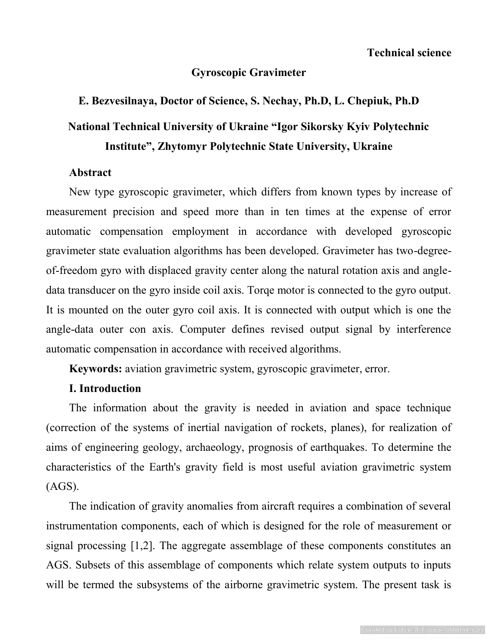## **Gyroscopic Gravimeter**

# **E. Bezvesilnaya, Doctor of Science, S. Nechay, Ph.D, L. Chepiuk, Ph.D National Technical University of Ukraine "Igor Sikorsky Kyiv Polytechnic Institute", Zhytomyr Polytechnic State University, Ukraine**

#### **Abstract**

New type gyroscopic gravimeter, which differs from known types by increase of measurement precision and speed more than in ten times at the expense of error automatic compensation employment in accordance with developed gyroscopic gravimeter state evaluation algorithms has been developed. Gravimeter has two-degreeof-freedom gyro with displaced gravity center along the natural rotation axis and angledata transducer on the gyro inside coil axis. Torqe motor is connected to the gyro output. It is mounted on the outer gyro coil axis. It is connected with output which is one the angle-data outer con axis. Computer defines revised output signal by interference automatic compensation in accordance with received algorithms.

**Keywords:** aviation gravimetric system, gyroscopic gravimeter, error.

#### **I. Introduction**

The information about the gravity is needed in aviation and space technique (correction of the systems of inertial navigation of rockets, planes), for realization of aims of engineering geology, archaeology, prognosis of earthquakes. To determine the characteristics of the Earth's gravity field is most useful aviation gravimetric system (AGS).

The indication of gravity anomalies from aircraft requires a combination of several instrumentation components, each of which is designed for the role of measurement or signal processing [1,2]. The aggregate assemblage of these components constitutes an AGS. Subsets of this assemblage of components which relate system outputs to inputs will be termed the subsystems of the airborne gravimetric system. The present task is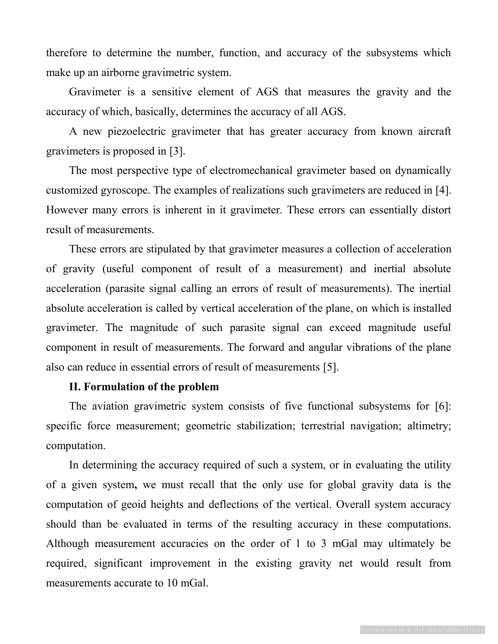therefore to determine the number, function, and accuracy of the subsystems which make up an airborne gravimetric system.

Gravimeter is a sensitive element of AGS that measures the gravity and the accuracy of which, basically, determines the accuracy of all AGS.

A new piezoelectric gravimeter that has greater accuracy from known aircraft gravimeters is proposed in [3].

The most perspective type of electromechanical gravimeter based on dynamically customized gyroscope. The examples of realizations such gravimeters are reduced in [4]. However many errors is inherent in it gravimeter. These errors can essentially distort result of measurements.

These errors are stipulated by that gravimeter measures a collection of acceleration of gravity (useful component of result of a measurement) and inertial absolute acceleration (parasite signal calling an errors of result of measurements). The inertial absolute acceleration is called by vertical acceleration of the plane, on which is installed gravimeter. The magnitude of such parasite signal can exceed magnitude useful component in result of measurements. The forward and angular vibrations of the plane also can reduce in essential errors of result of measurements [5].

#### **II. Formulation of the problem**

The aviation gravimetric system consists of five functional subsystems for [6]: specific force measurement; geometric stabilization; terrestrial navigation; altimetry; computation.

In determining the accuracy required of such a system, or in evaluating the utility of a given system**,** we must recall that the only use for global gravity data is the computation of geoid heights and deflections of the vertical. Overall system accuracy should than be evaluated in terms of the resulting accuracy in these computations. Although measurement accuracies on the order of 1 to 3 mGal may ultimately be required, significant improvement in the existing gravity net would result from measurements accurate to 10 mGal.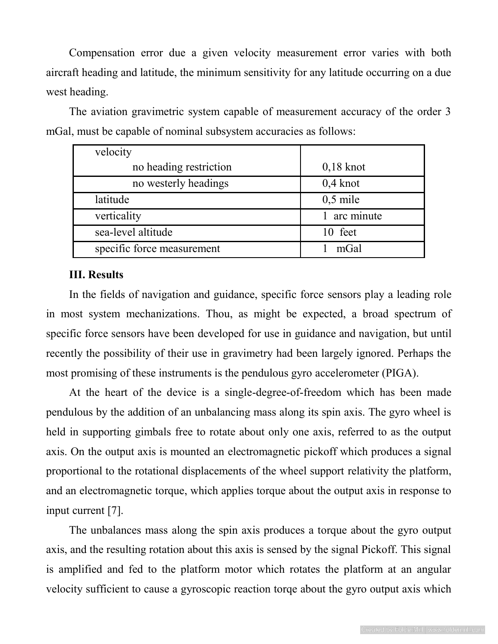Compensation error due a given velocity measurement error varies with both aircraft heading and latitude, the minimum sensitivity for any latitude occurring on a due west heading.

velocity no heading restriction and  $0.18 \text{ knot}$ no westerly headings and  $\qquad$  0,4 knot latitude 0,5 mile verticality 1 arc minute sea-level altitude 10 feet specific force measurement 1 mGal

The aviation gravimetric system capable of measurement accuracy of the order 3 mGal, must be capable of nominal subsystem accuracies as follows:

#### **III. Results**

In the fields of navigation and guidance, specific force sensors play a leading role in most system mechanizations. Thou, as might be expected, a broad spectrum of specific force sensors have been developed for use in guidance and navigation, but until recently the possibility of their use in gravimetry had been largely ignored. Perhaps the most promising of these instruments is the pendulous gyro accelerometer (PIGA).

At the heart of the device is a single-degree-of-freedom which has been made pendulous by the addition of an unbalancing mass along its spin axis. The gyro wheel is held in supporting gimbals free to rotate about only one axis, referred to as the output axis. On the output axis is mounted an electromagnetic pickoff which produces a signal proportional to the rotational displacements of the wheel support relativity the platform, and an electromagnetic torque, which applies torque about the output axis in response to input current [7].

The unbalances mass along the spin axis produces a torque about the gyro output axis, and the resulting rotation about this axis is sensed by the signal Pickoff. This signal is amplified and fed to the platform motor which rotates the platform at an angular velocity sufficient to cause a gyroscopic reaction torqe about the gyro output axis which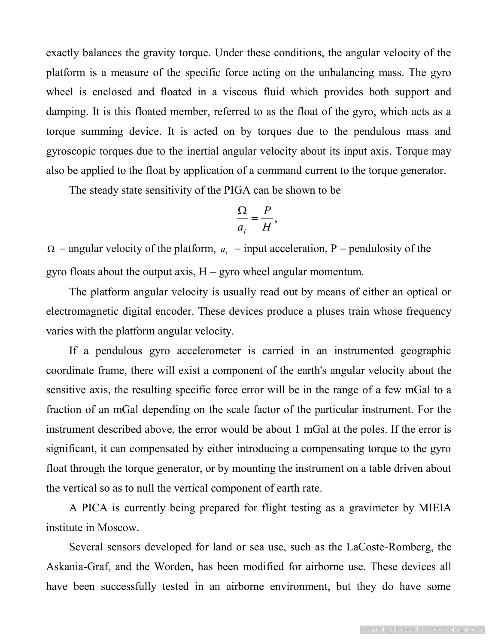exactly balances the gravity torque. Under these conditions, the angular velocity of the platform is a measure of the specific force acting on the unbalancing mass. The gyro wheel is enclosed and floated in a viscous fluid which provides both support and damping. It is this floated member, referred to as the float of the gyro, which acts as a torque summing device. It is acted on by torques due to the pendulous mass and gyroscopic torques due to the inertial angular velocity about its input axis. Torque may also be applied to the float by application of a command current to the torque generator.

The steady state sensitivity of the PIGA can be shown to be

$$
\frac{\Omega}{a_i} = \frac{P}{H},
$$

 $\Omega$  – angular velocity of the platform,  $a_i$  – input acceleration, P – pendulosity of the gyro floats about the output axis,  $H - gyro$  wheel angular momentum.

The platform angular velocity is usually read out by means of either an optical or electromagnetic digital encoder. These devices produce a pluses train whose frequency varies with the platform angular velocity.

If a pendulous gyro accelerometer is carried in an instrumented geographic coordinate frame, there will exist a component of the earth's angular velocity about the sensitive axis, the resulting specific force error will be in the range of a few mGal to a fraction of an mGal depending on the scale factor of the particular instrument. For the instrument described above, the error would be about 1 mGal at the poles. If the error is significant, it can compensated by either introducing a compensating torque to the gyro float through the torque generator, or by mounting the instrument on a table driven about the vertical so as to null the vertical component of earth rate.

A PICA is currently being prepared for flight testing as a gravimeter by MIEIA institute in Moscow.

Several sensors developed for land or sea use, such as the LaCoste-Romberg, the Askania-Graf, and the Worden, has been modified for airborne use. These devices all have been successfully tested in an airborne environment, but they do have some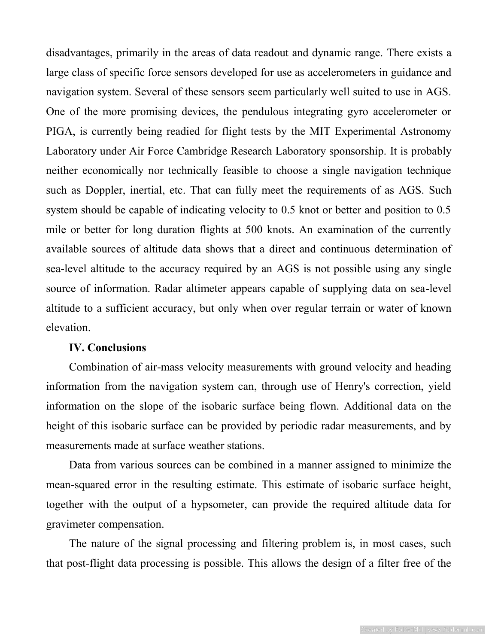disadvantages, primarily in the areas of data readout and dynamic range. There exists a large class of specific force sensors developed for use as accelerometers in guidance and navigation system. Several of these sensors seem particularly well suited to use in AGS. One of the more promising devices, the pendulous integrating gyro accelerometer or PIGA, is currently being readied for flight tests by the MIT Experimental Astronomy Laboratory under Air Force Cambridge Research Laboratory sponsorship. It is probably neither economically nor technically feasible to choose a single navigation technique such as Doppler, inertial, etc. That can fully meet the requirements of as AGS. Such system should be capable of indicating velocity to 0.5 knot or better and position to 0.5 mile or better for long duration flights at 500 knots. An examination of the currently available sources of altitude data shows that a direct and continuous determination of sea-level altitude to the accuracy required by an AGS is not possible using any single source of information. Radar altimeter appears capable of supplying data on sea-level altitude to a sufficient accuracy, but only when over regular terrain or water of known elevation.

#### **IV. Conclusions**

Combination of air-mass velocity measurements with ground velocity and heading information from the navigation system can, through use of Henry's correction, yield information on the slope of the isobaric surface being flown. Additional data on the height of this isobaric surface can be provided by periodic radar measurements, and by measurements made at surface weather stations.

Data from various sources can be combined in a manner assigned to minimize the mean-squared error in the resulting estimate. This estimate of isobaric surface height, together with the output of a hypsometer, can provide the required altitude data for gravimeter compensation.

The nature of the signal processing and filtering problem is, in most cases, such that post-flight data processing is possible. This allows the design of a filter free of the